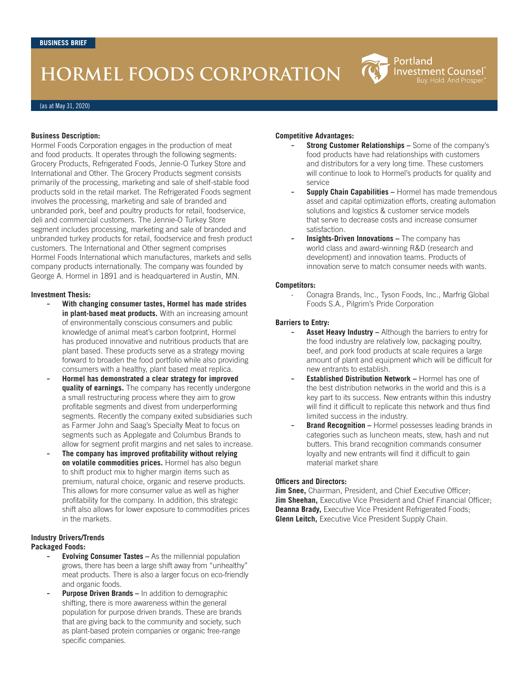# **HORMEL FOODS CORPORATION**

(as at May 31, 2020)

#### **Business Description:**

Hormel Foods Corporation engages in the production of meat and food products. It operates through the following segments: Grocery Products, Refrigerated Foods, Jennie-O Turkey Store and International and Other. The Grocery Products segment consists primarily of the processing, marketing and sale of shelf-stable food products sold in the retail market. The Refrigerated Foods segment involves the processing, marketing and sale of branded and unbranded pork, beef and poultry products for retail, foodservice, deli and commercial customers. The Jennie-O Turkey Store segment includes processing, marketing and sale of branded and unbranded turkey products for retail, foodservice and fresh product customers. The International and Other segment comprises Hormel Foods International which manufactures, markets and sells company products internationally. The company was founded by George A. Hormel in 1891 and is headquartered in Austin, MN.

#### **Investment Thesis:**

- **With changing consumer tastes, Hormel has made strides in plant-based meat products.** With an increasing amount of environmentally conscious consumers and public knowledge of animal meat's carbon footprint, Hormel has produced innovative and nutritious products that are plant based. These products serve as a strategy moving forward to broaden the food portfolio while also providing consumers with a healthy, plant based meat replica.
- **Hormel has demonstrated a clear strategy for improved quality of earnings.** The company has recently undergone a small restructuring process where they aim to grow profitable segments and divest from underperforming segments. Recently the company exited subsidiaries such as Farmer John and Saag's Specialty Meat to focus on segments such as Applegate and Columbus Brands to allow for segment profit margins and net sales to increase.
- **The company has improved profitability without relying on volatile commodities prices.** Hormel has also begun to shift product mix to higher margin items such as premium, natural choice, organic and reserve products. This allows for more consumer value as well as higher profitability for the company. In addition, this strategic shift also allows for lower exposure to commodities prices in the markets.

#### **Industry Drivers/Trends Packaged Foods:**

- **Evolving Consumer Tastes As the millennial population** grows, there has been a large shift away from "unhealthy" meat products. There is also a larger focus on eco-friendly and organic foods.
- **Purpose Driven Brands In addition to demographic** shifting, there is more awareness within the general population for purpose driven brands. These are brands that are giving back to the community and society, such as plant-based protein companies or organic free-range specific companies.

#### **Competitive Advantages:**

- **Strong Customer Relationships –** Some of the company's food products have had relationships with customers and distributors for a very long time. These customers will continue to look to Hormel's products for quality and service

Portland

**Investment Counsel** Buy. Hold. And Prosper

- **Supply Chain Capabilities Hormel has made tremendous** asset and capital optimization efforts, creating automation solutions and logistics & customer service models that serve to decrease costs and increase consumer satisfaction.
- Insights-Driven Innovations The company has world class and award-winning R&D (research and development) and innovation teams. Products of innovation serve to match consumer needs with wants.

#### **Competitors:**

Conagra Brands, Inc., Tyson Foods, Inc., Marfrig Global Foods S.A., Pilgrim's Pride Corporation

#### **Barriers to Entry:**

- Asset Heavy Industry Although the barriers to entry for the food industry are relatively low, packaging poultry, beef, and pork food products at scale requires a large amount of plant and equipment which will be difficult for new entrants to establish.
- **Established Distribution Network Hormel has one of** the best distribution networks in the world and this is a key part to its success. New entrants within this industry will find it difficult to replicate this network and thus find limited success in the industry.
- **Brand Recognition Hormel possesses leading brands in** categories such as luncheon meats, stew, hash and nut butters. This brand recognition commands consumer loyalty and new entrants will find it difficult to gain material market share

#### **Officers and Directors:**

**Jim Snee,** Chairman, President, and Chief Executive Officer; **Jim Sheehan, Executive Vice President and Chief Financial Officer; Deanna Brady, Executive Vice President Refrigerated Foods; Glenn Leitch,** Executive Vice President Supply Chain.